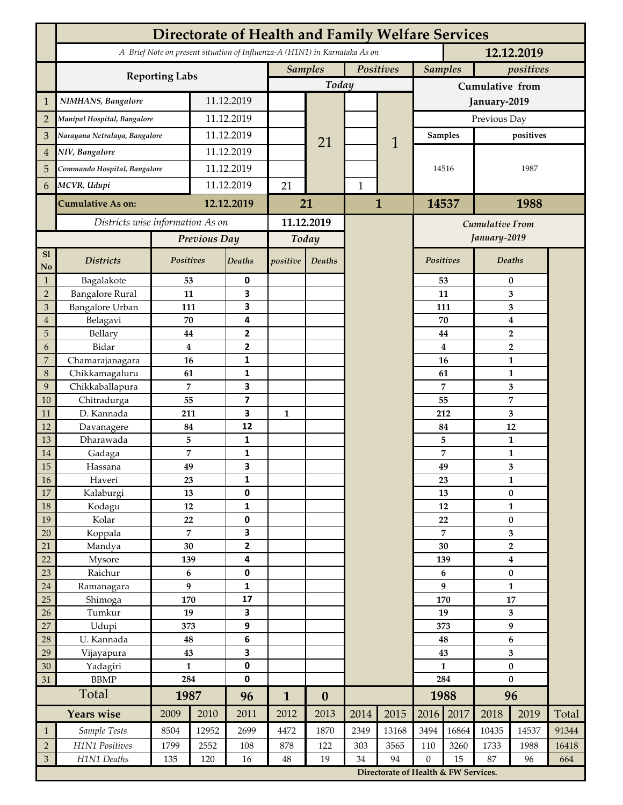|                                           | <b>Directorate of Health and Family Welfare Services</b>                                 |                     |             |                         |                             |                  |              |                        |                                      |              |                               |                |              |  |
|-------------------------------------------|------------------------------------------------------------------------------------------|---------------------|-------------|-------------------------|-----------------------------|------------------|--------------|------------------------|--------------------------------------|--------------|-------------------------------|----------------|--------------|--|
|                                           | A Brief Note on present situation of Influenza-A (H1N1) in Karnataka As on<br>12.12.2019 |                     |             |                         |                             |                  |              |                        |                                      |              |                               |                |              |  |
|                                           |                                                                                          |                     |             |                         | Positives<br><b>Samples</b> |                  |              | <b>Samples</b>         |                                      | positives    |                               |                |              |  |
|                                           | <b>Reporting Labs</b>                                                                    |                     |             |                         |                             | Today            |              |                        | Cumulative from                      |              |                               |                |              |  |
| $\mathbf{1}$                              | NIMHANS, Bangalore                                                                       | 11.12.2019          |             |                         |                             |                  |              | January-2019           |                                      |              |                               |                |              |  |
| $\overline{2}$                            | Manipal Hospital, Bangalore                                                              |                     | 11.12.2019  |                         |                             |                  |              |                        | Previous Day                         |              |                               |                |              |  |
| 3                                         | Narayana Netralaya, Bangalore                                                            |                     |             | 11.12.2019              |                             |                  |              |                        | <b>Samples</b>                       |              |                               | positives      |              |  |
| $\overline{4}$                            | NIV, Bangalore                                                                           |                     | 11.12.2019  |                         |                             | 21               |              | 1                      |                                      |              |                               |                |              |  |
| 5                                         | Commando Hospital, Bangalore                                                             |                     | 11.12.2019  |                         |                             |                  |              |                        | 14516                                |              | 1987                          |                |              |  |
| 6                                         | MCVR, Udupi                                                                              |                     | 11.12.2019  |                         | 21                          |                  | $\mathbf{1}$ |                        |                                      |              |                               |                |              |  |
|                                           |                                                                                          |                     |             |                         |                             |                  |              |                        |                                      |              |                               |                |              |  |
|                                           | <b>Cumulative As on:</b>                                                                 |                     | 12.12.2019  |                         | 21                          |                  |              | $\mathbf{1}$           | 14537                                |              | 1988                          |                |              |  |
|                                           | Districts wise information As on                                                         |                     |             | 11.12.2019              |                             |                  |              | <b>Cumulative From</b> |                                      |              |                               |                |              |  |
|                                           |                                                                                          | Previous Day        |             | Today                   |                             |                  |              |                        |                                      | January-2019 |                               |                |              |  |
| S1<br>No                                  | <b>Districts</b>                                                                         | Positives           |             | Deaths                  | positive                    | Deaths           |              |                        |                                      | Positives    |                               | <b>Deaths</b>  |              |  |
| $\mathbf{1}$                              | Bagalakote                                                                               | 53                  |             | 0                       |                             |                  |              | 53                     |                                      | $\bf{0}$     |                               |                |              |  |
| $\overline{2}$                            | <b>Bangalore Rural</b>                                                                   | 11                  |             | 3                       |                             |                  |              |                        |                                      | 11           | 3                             |                |              |  |
| 3                                         | <b>Bangalore Urban</b>                                                                   | 111                 |             | 3                       |                             |                  |              |                        | 111                                  | 3            |                               |                |              |  |
| $\overline{4}$                            | Belagavi<br>Bellary                                                                      | 70                  |             | 4<br>$\mathbf{2}$       |                             |                  |              |                        |                                      | 70           | $\boldsymbol{4}$              |                |              |  |
| 5<br>6                                    | Bidar                                                                                    | 44<br>$\bf{4}$      |             | 2                       |                             |                  |              |                        |                                      | 44<br>4      | $\mathbf 2$<br>$\overline{2}$ |                |              |  |
| $\overline{7}$                            | Chamarajanagara                                                                          | 16                  |             | 1                       |                             |                  |              |                        |                                      | 16           | $\mathbf{1}$                  |                |              |  |
| 8                                         | Chikkamagaluru                                                                           | 61                  |             | 1                       |                             |                  |              |                        |                                      | 61           |                               | 1              |              |  |
| 9                                         | Chikkaballapura                                                                          | 7                   |             | 3                       |                             |                  |              |                        |                                      | 7            |                               | 3              |              |  |
| 10                                        | Chitradurga                                                                              | 55                  |             | $\overline{\mathbf{z}}$ |                             |                  |              |                        |                                      | 55           |                               | $\overline{7}$ |              |  |
| 11                                        | D. Kannada                                                                               | 211                 |             | 3                       | 1                           |                  |              |                        |                                      | 212          | 3                             |                |              |  |
| 12                                        | Davanagere                                                                               | 84                  |             | 12                      |                             |                  |              |                        |                                      | 84           | 12                            |                |              |  |
| 13                                        | Dharawada                                                                                | 5<br>$\overline{7}$ |             | 1<br>1                  |                             |                  |              |                        |                                      | 5            | 1<br>$\mathbf{1}$             |                |              |  |
| 14<br>15                                  | Gadaga<br>Hassana                                                                        | 49                  |             | 3                       |                             |                  |              |                        |                                      | 7<br>49      |                               | 3              |              |  |
| 16                                        | Haveri                                                                                   | 23                  |             | 1                       |                             |                  |              |                        |                                      | 23           | 1                             |                |              |  |
| 17                                        | Kalaburgi                                                                                | 13                  |             | 0                       |                             |                  |              |                        |                                      | 13           | $\pmb{0}$                     |                |              |  |
| 18                                        | Kodagu                                                                                   | $12\,$              |             | 1                       |                             |                  |              |                        |                                      | 12           | $\mathbf{1}$                  |                |              |  |
| 19                                        | Kolar                                                                                    | 22                  |             | 0                       |                             |                  |              |                        |                                      | 22           |                               | $\bf{0}$       |              |  |
| 20                                        | Koppala                                                                                  | $\overline{7}$      |             | 3                       |                             |                  |              |                        | 7                                    |              | 3                             |                |              |  |
| 21                                        | Mandya                                                                                   | 30                  |             | $\overline{2}$          |                             |                  |              |                        |                                      | 30           | $\overline{\mathbf{2}}$       |                |              |  |
| 22<br>23                                  | Mysore<br>Raichur                                                                        | 139<br>$\bf 6$      |             | 4<br>0                  |                             |                  |              |                        |                                      | 139          | $\boldsymbol{4}$<br>$\pmb{0}$ |                |              |  |
| 24                                        | Ramanagara                                                                               | 9                   |             | 1                       |                             |                  |              |                        | 6<br>9                               |              | $\mathbf{1}$                  |                |              |  |
| 25                                        | Shimoga                                                                                  | 170                 |             | 17                      |                             |                  |              |                        | 170                                  |              | 17                            |                |              |  |
| 26                                        | Tumkur                                                                                   | 19                  |             | 3                       |                             |                  |              |                        | 19                                   |              | 3                             |                |              |  |
| 27                                        | Udupi                                                                                    | 373                 |             | 9                       |                             |                  |              |                        | 373                                  |              | $\boldsymbol{9}$              |                |              |  |
| 28                                        | U. Kannada                                                                               | 48                  |             | 6                       |                             |                  |              |                        | 48                                   |              | 6                             |                |              |  |
| 29                                        | Vijayapura                                                                               | 43                  |             | 3                       |                             |                  |              |                        | 43                                   |              | 3                             |                |              |  |
| 30                                        | Yadagiri                                                                                 | $\mathbf{1}$<br>284 |             | 0<br>0                  |                             |                  |              |                        | $\mathbf{1}$<br>284                  |              | $\pmb{0}$<br>$\bf{0}$         |                |              |  |
| 31                                        | <b>BBMP</b><br>Total                                                                     | 1987                |             |                         |                             |                  |              |                        | 1988                                 |              | 96                            |                |              |  |
|                                           |                                                                                          |                     |             | 96                      | $\mathbf{1}$                | $\boldsymbol{0}$ |              |                        |                                      |              |                               |                |              |  |
|                                           | <b>Years wise</b>                                                                        | 2009                | 2010        | 2011                    | 2012                        | 2013             | 2014         | 2015                   | 2016                                 | 2017         | 2018                          | 2019           | Total        |  |
| $\mathbf{1}$                              | Sample Tests                                                                             | 8504                | 12952       | 2699                    | 4472                        | 1870             | 2349         | 13168                  | 3494                                 | 16864        | 10435                         | 14537          | 91344        |  |
| $\sqrt{2}$<br>$\ensuremath{\mathfrak{Z}}$ | H1N1 Positives<br>H1N1 Deaths                                                            | 1799<br>135         | 2552<br>120 | 108<br>16               | 878<br>$\bf 48$             | 122<br>19        | 303<br>34    | 3565<br>94             | 110<br>$\mathbf{0}$                  | 3260<br>15   | 1733<br>87                    | 1988<br>96     | 16418<br>664 |  |
|                                           |                                                                                          |                     |             |                         |                             |                  |              |                        | Directorate of Health & FW Services. |              |                               |                |              |  |